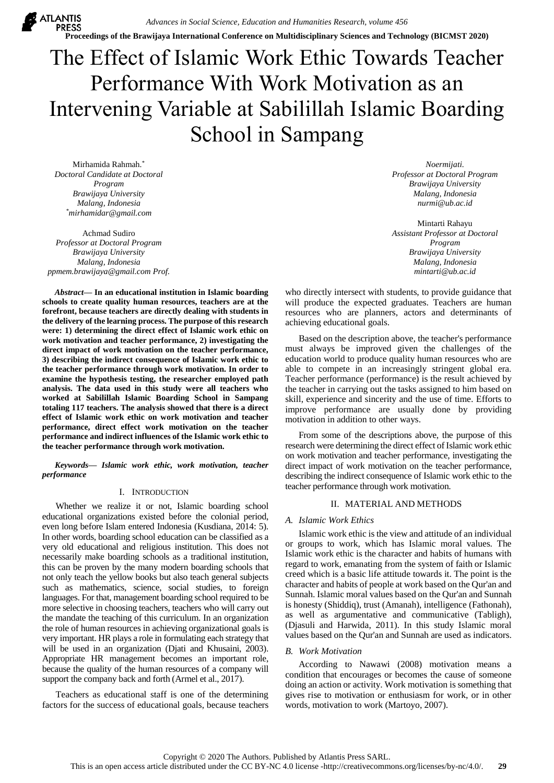*Advances in Social Science, Education and Humanities Research, volume 456* **Proceedings of the Brawijaya International Conference on Multidisciplinary Sciences and Technology (BICMST 2020)**

# The Effect of Islamic Work Ethic Towards Teacher Performance With Work Motivation as an Intervening Variable at Sabilillah Islamic Boarding School in Sampang

Mirhamida Rahmah. \* *Doctoral Candidate at Doctoral Program Brawijaya University Malang, Indonesia \*mirhamidar@gmail.com*

**ATLANTIS** 

Achmad Sudiro *Professor at Doctoral Program Brawijaya University Malang, Indonesia ppmem.brawijaya@gmail.com Prof.* 

*Abstract***— In an educational institution in Islamic boarding schools to create quality human resources, teachers are at the forefront, because teachers are directly dealing with students in the delivery of the learning process. The purpose of this research were: 1) determining the direct effect of Islamic work ethic on work motivation and teacher performance, 2) investigating the direct impact of work motivation on the teacher performance, 3) describing the indirect consequence of Islamic work ethic to the teacher performance through work motivation. In order to examine the hypothesis testing, the researcher employed path analysis. The data used in this study were all teachers who worked at Sabilillah Islamic Boarding School in Sampang totaling 117 teachers. The analysis showed that there is a direct effect of Islamic work ethic on work motivation and teacher performance, direct effect work motivation on the teacher performance and indirect influences of the Islamic work ethic to the teacher performance through work motivation.**

*Keywords— Islamic work ethic, work motivation, teacher performance*

## I. INTRODUCTION

Whether we realize it or not, Islamic boarding school educational organizations existed before the colonial period, even long before Islam entered Indonesia (Kusdiana, 2014: 5). In other words, boarding school education can be classified as a very old educational and religious institution. This does not necessarily make boarding schools as a traditional institution, this can be proven by the many modern boarding schools that not only teach the yellow books but also teach general subjects such as mathematics, science, social studies, to foreign languages. For that, management boarding school required to be more selective in choosing teachers, teachers who will carry out the mandate the teaching of this curriculum. In an organization the role of human resources in achieving organizational goals is very important. HR plays a role in formulating each strategy that will be used in an organization (Djati and Khusaini, 2003). Appropriate HR management becomes an important role, because the quality of the human resources of a company will support the company back and forth (Armel et al., 2017).

Teachers as educational staff is one of the determining factors for the success of educational goals, because teachers

*Noermijati. Professor at Doctoral Program Brawijaya University Malang, Indonesia nurmi@ub.ac.id*

Mintarti Rahayu *Assistant Professor at Doctoral Program Brawijaya University Malang, Indonesia mintarti@ub.ac.id*

who directly intersect with students, to provide guidance that will produce the expected graduates. Teachers are human resources who are planners, actors and determinants of achieving educational goals.

Based on the description above, the teacher's performance must always be improved given the challenges of the education world to produce quality human resources who are able to compete in an increasingly stringent global era. Teacher performance (performance) is the result achieved by the teacher in carrying out the tasks assigned to him based on skill, experience and sincerity and the use of time. Efforts to improve performance are usually done by providing motivation in addition to other ways.

From some of the descriptions above, the purpose of this research were determining the direct effect of Islamic work ethic on work motivation and teacher performance, investigating the direct impact of work motivation on the teacher performance, describing the indirect consequence of Islamic work ethic to the teacher performance through work motivation.

## II. MATERIAL AND METHODS

### *A. Islamic Work Ethics*

Islamic work ethic is the view and attitude of an individual or groups to work, which has Islamic moral values. The Islamic work ethic is the character and habits of humans with regard to work, emanating from the system of faith or Islamic creed which is a basic life attitude towards it. The point is the character and habits of people at work based on the Qur'an and Sunnah. Islamic moral values based on the Qur'an and Sunnah is honesty (Shiddiq), trust (Amanah), intelligence (Fathonah), as well as argumentative and communicative (Tabligh), (Djasuli and Harwida, 2011). In this study Islamic moral values based on the Qur'an and Sunnah are used as indicators.

## *B. Work Motivation*

According to Nawawi (2008) motivation means a condition that encourages or becomes the cause of someone doing an action or activity. Work motivation is something that gives rise to motivation or enthusiasm for work, or in other words, motivation to work (Martoyo, 2007).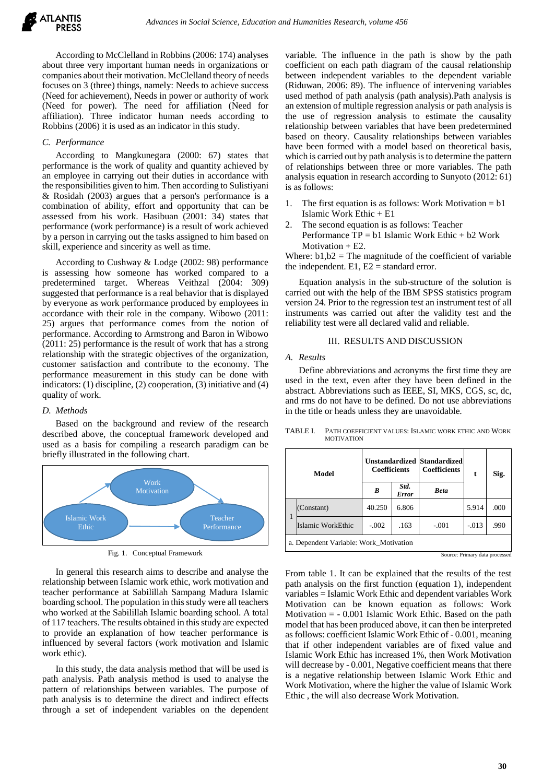

According to McClelland in Robbins (2006: 174) analyses about three very important human needs in organizations or companies about their motivation. McClelland theory of needs focuses on 3 (three) things, namely: Needs to achieve success (Need for achievement), Needs in power or authority of work (Need for power). The need for affiliation (Need for affiliation). Three indicator human needs according to Robbins (2006) it is used as an indicator in this study.

#### *C. Performance*

According to Mangkunegara (2000: 67) states that performance is the work of quality and quantity achieved by an employee in carrying out their duties in accordance with the responsibilities given to him. Then according to Sulistiyani & Rosidah (2003) argues that a person's performance is a combination of ability, effort and opportunity that can be assessed from his work. Hasibuan (2001: 34) states that performance (work performance) is a result of work achieved by a person in carrying out the tasks assigned to him based on skill, experience and sincerity as well as time.

According to Cushway & Lodge (2002: 98) performance is assessing how someone has worked compared to a predetermined target. Whereas Veithzal (2004: 309) suggested that performance is a real behavior that is displayed by everyone as work performance produced by employees in accordance with their role in the company. Wibowo (2011: 25) argues that performance comes from the notion of performance. According to Armstrong and Baron in Wibowo (2011: 25) performance is the result of work that has a strong relationship with the strategic objectives of the organization, customer satisfaction and contribute to the economy. The performance measurement in this study can be done with indicators: (1) discipline, (2) cooperation, (3) initiative and (4) quality of work.

### *D. Methods*

Based on the background and review of the research described above, the conceptual framework developed and used as a basis for compiling a research paradigm can be briefly illustrated in the following chart.



Fig. 1. Conceptual Framework

In general this research aims to describe and analyse the relationship between Islamic work ethic, work motivation and teacher performance at Sabilillah Sampang Madura Islamic boarding school. The population in this study were all teachers who worked at the Sabilillah Islamic boarding school. A total of 117 teachers. The results obtained in this study are expected to provide an explanation of how teacher performance is influenced by several factors (work motivation and Islamic work ethic).

In this study, the data analysis method that will be used is path analysis. Path analysis method is used to analyse the pattern of relationships between variables. The purpose of path analysis is to determine the direct and indirect effects through a set of independent variables on the dependent

variable. The influence in the path is show by the path coefficient on each path diagram of the causal relationship between independent variables to the dependent variable (Riduwan, 2006: 89). The influence of intervening variables used method of path analysis (path analysis).Path analysis is an extension of multiple regression analysis or path analysis is the use of regression analysis to estimate the causality relationship between variables that have been predetermined based on theory. Causality relationships between variables have been formed with a model based on theoretical basis, which is carried out by path analysis is to determine the pattern of relationships between three or more variables. The path analysis equation in research according to Sunyoto (2012: 61) is as follows:

- 1. The first equation is as follows: Work Motivation  $= b1$ Islamic Work Ethic + E1
- 2. The second equation is as follows: Teacher Performance  $TP = b1$  Islamic Work Ethic + b2 Work Motivation  $+ E2$ .

Where:  $b1, b2$  = The magnitude of the coefficient of variable the independent.  $E1$ ,  $E2$  = standard error.

Equation analysis in the sub-structure of the solution is carried out with the help of the IBM SPSS statistics program version 24. Prior to the regression test an instrument test of all instruments was carried out after the validity test and the reliability test were all declared valid and reliable.

#### III. RESULTS AND DISCUSSION

### *A. Results*

Define abbreviations and acronyms the first time they are used in the text, even after they have been defined in the abstract. Abbreviations such as IEEE, SI, MKS, CGS, sc, dc, and rms do not have to be defined. Do not use abbreviations in the title or heads unless they are unavoidable.

| Model                                  |                   | <b>Unstandardized Standardized</b><br><b>Coefficients</b> |                      | <b>Coefficients</b> | t       | Sig. |  |  |  |
|----------------------------------------|-------------------|-----------------------------------------------------------|----------------------|---------------------|---------|------|--|--|--|
|                                        |                   | B                                                         | Std.<br><b>Error</b> | <b>Beta</b>         |         |      |  |  |  |
| 1                                      | (Constant)        | 40.250                                                    | 6.806                |                     | 5.914   | .000 |  |  |  |
|                                        | Islamic WorkEthic | $-.002$                                                   | .163                 | $-.001$             | $-.013$ | .990 |  |  |  |
| a. Dependent Variable: Work_Motivation |                   |                                                           |                      |                     |         |      |  |  |  |

TABLE I. PATH COEFFICIENT VALUES: ISLAMIC WORK ETHIC AND WORK MOTIVATION

Source: Primary data processed

From table 1. It can be explained that the results of the test path analysis on the first function (equation 1), independent variables = Islamic Work Ethic and dependent variables Work Motivation can be known equation as follows: Work Motivation = - 0.001 Islamic Work Ethic. Based on the path model that has been produced above, it can then be interpreted as follows: coefficient Islamic Work Ethic of - 0.001, meaning that if other independent variables are of fixed value and Islamic Work Ethic has increased 1%, then Work Motivation will decrease by - 0.001, Negative coefficient means that there is a negative relationship between Islamic Work Ethic and Work Motivation, where the higher the value of Islamic Work Ethic , the will also decrease Work Motivation.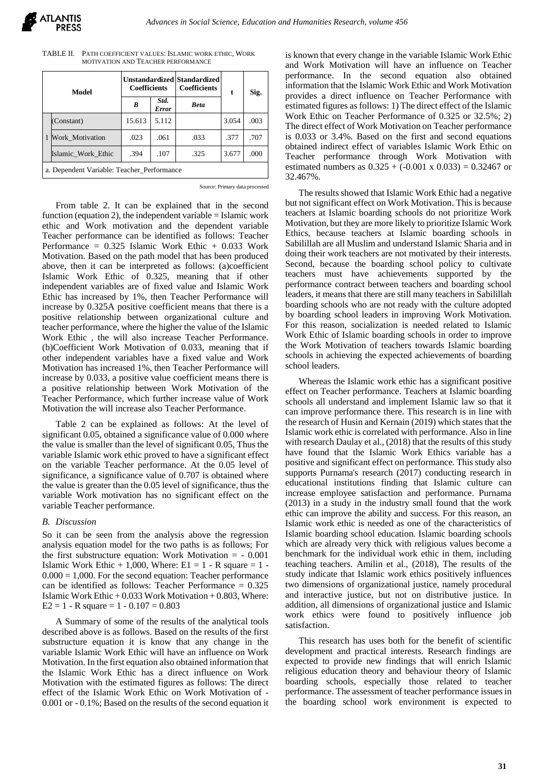| TABLE II. PATH COEFFICIENT VALUES: ISLAMIC WORK ETHIC. WORK |
|-------------------------------------------------------------|
| MOTIVATION AND TEACHER PERFORMANCE                          |

| Model                                      |                    | <b>Unstandardized Standardized</b><br><b>Coefficients</b> |               | <b>Coefficients</b> | t     | Sig. |  |  |
|--------------------------------------------|--------------------|-----------------------------------------------------------|---------------|---------------------|-------|------|--|--|
|                                            |                    | B                                                         | Std.<br>Error | <b>Beta</b>         |       |      |  |  |
| 1                                          | (Constant)         | 15.613                                                    | 5.112         |                     | 3.054 | .003 |  |  |
|                                            | Work Motivation    | .023                                                      | .061          | .033                | .377  | .707 |  |  |
|                                            | Islamic Work Ethic | .394                                                      | .107          | .325                | 3.677 | .000 |  |  |
| a. Dependent Variable: Teacher Performance |                    |                                                           |               |                     |       |      |  |  |

Source: Primary data processed

From table 2. It can be explained that in the second function (equation 2), the independent variable  $=$  Islamic work ethic and Work motivation and the dependent variable Teacher performance can be identified as follows: Teacher Performance = 0.325 Islamic Work Ethic + 0.033 Work Motivation. Based on the path model that has been produced above, then it can be interpreted as follows: (a)coefficient Islamic Work Ethic of 0.325, meaning that if other independent variables are of fixed value and Islamic Work Ethic has increased by 1%, then Teacher Performance will increase by 0.325A positive coefficient means that there is a positive relationship between organizational culture and teacher performance, where the higher the value of the Islamic Work Ethic , the will also increase Teacher Performance. (b)Coefficient Work Motivation of 0.033, meaning that if other independent variables have a fixed value and Work Motivation has increased 1%, then Teacher Performance will increase by 0.033, a positive value coefficient means there is a positive relationship between Work Motivation of the Teacher Performance, which further increase value of Work Motivation the will increase also Teacher Performance.

Table 2 can be explained as follows: At the level of significant 0.05, obtained a significance value of 0.000 where the value is smaller than the level of significant 0.05, Thus the variable Islamic work ethic proved to have a significant effect on the variable Teacher performance. At the 0.05 level of significance, a significance value of 0.707 is obtained where the value is greater than the 0.05 level of significance, thus the variable Work motivation has no significant effect on the variable Teacher performance.

### *B. Discussion*

So it can be seen from the analysis above the regression analysis equation model for the two paths is as follows; For the first substructure equation: Work Motivation = - 0.001 Islamic Work Ethic  $+ 1,000$ , Where: E1 = 1 - R square = 1 - $0.000 = 1,000$ . For the second equation: Teacher performance can be identified as follows: Teacher Performance  $= 0.325$ Islamic Work Ethic  $+0.033$  Work Motivation  $+0.803$ , Where:  $E2 = 1 - R$  square  $= 1 - 0.107 = 0.803$ 

A Summary of some of the results of the analytical tools described above is as follows. Based on the results of the first substructure equation it is know that any change in the variable Islamic Work Ethic will have an influence on Work Motivation. In the first equation also obtained information that the Islamic Work Ethic has a direct influence on Work Motivation with the estimated figures as follows: The direct effect of the Islamic Work Ethic on Work Motivation of - 0.001 or - 0.1%; Based on the results of the second equation it is known that every change in the variable Islamic Work Ethic and Work Motivation will have an influence on Teacher performance. In the second equation also obtained information that the Islamic Work Ethic and Work Motivation provides a direct influence on Teacher Performance with estimated figures as follows: 1) The direct effect of the Islamic Work Ethic on Teacher Performance of 0.325 or 32.5%; 2) The direct effect of Work Motivation on Teacher performance is 0.033 or 3.4%. Based on the first and second equations obtained indirect effect of variables Islamic Work Ethic on Teacher performance through Work Motivation with estimated numbers as  $0.325 + (-0.001 \times 0.033) = 0.32467$  or 32.467%.

The results showed that Islamic Work Ethic had a negative but not significant effect on Work Motivation. This is because teachers at Islamic boarding schools do not prioritize Work Motivation, but they are more likely to prioritize Islamic Work Ethics, because teachers at Islamic boarding schools in Sabilillah are all Muslim and understand Islamic Sharia and in doing their work teachers are not motivated by their interests. Second, because the boarding school policy to cultivate teachers must have achievements supported by the performance contract between teachers and boarding school leaders, it means that there are still many teachers in Sabilillah boarding schools who are not ready with the culture adopted by boarding school leaders in improving Work Motivation. For this reason, socialization is needed related to Islamic Work Ethic of Islamic boarding schools in order to improve the Work Motivation of teachers towards Islamic boarding schools in achieving the expected achievements of boarding school leaders.

Whereas the Islamic work ethic has a significant positive effect on Teacher performance. Teachers at Islamic boarding schools all understand and implement Islamic law so that it can improve performance there. This research is in line with the research of Husin and Kernain (2019) which states that the Islamic work ethic is correlated with performance. Also in line with research Daulay et al., (2018) that the results of this study have found that the Islamic Work Ethics variable has a positive and significant effect on performance. This study also supports Purnama's research (2017) conducting research in educational institutions finding that Islamic culture can increase employee satisfaction and performance. Purnama (2013) in a study in the industry small found that the work ethic can improve the ability and success. For this reason, an Islamic work ethic is needed as one of the characteristics of Islamic boarding school education. Islamic boarding schools which are already very thick with religious values become a benchmark for the individual work ethic in them, including teaching teachers. Amilin et al., (2018), The results of the study indicate that Islamic work ethics positively influences two dimensions of organizational justice, namely procedural and interactive justice, but not on distributive justice. In addition, all dimensions of organizational justice and Islamic work ethics were found to positively influence job satisfaction.

This research has uses both for the benefit of scientific development and practical interests. Research findings are expected to provide new findings that will enrich Islamic religious education theory and behaviour theory of Islamic boarding schools, especially those related to teacher performance. The assessment of teacher performance issues in the boarding school work environment is expected to